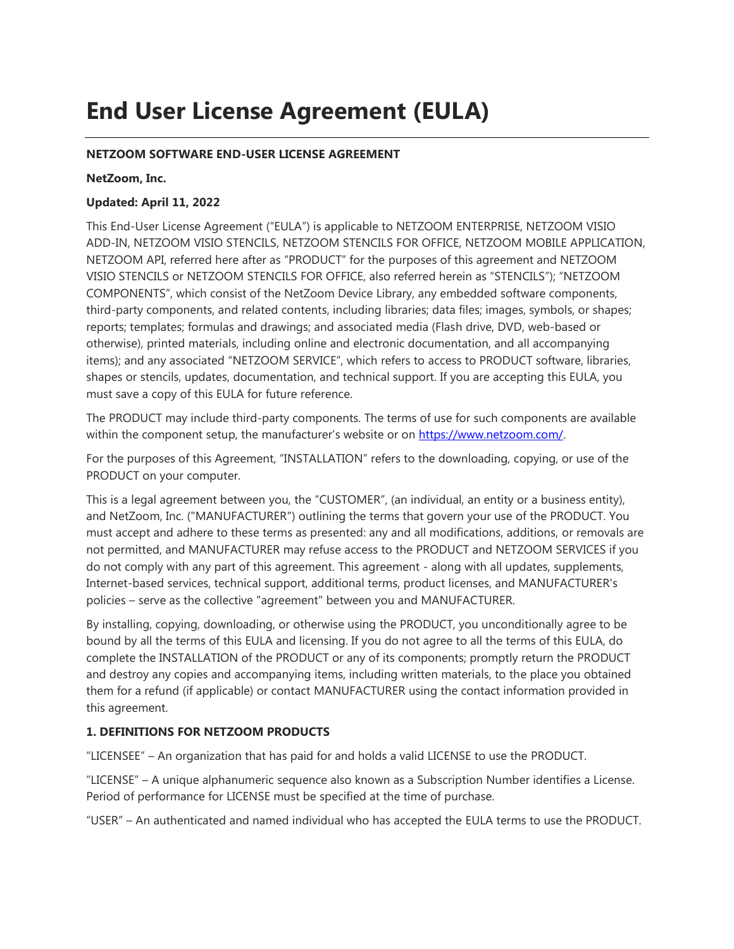# **End User License Agreement (EULA)**

# **NETZOOM SOFTWARE END-USER LICENSE AGREEMENT**

## **NetZoom, Inc.**

# **Updated: April 11, 2022**

This End-User License Agreement ("EULA") is applicable to NETZOOM ENTERPRISE, NETZOOM VISIO ADD-IN, NETZOOM VISIO STENCILS, NETZOOM STENCILS FOR OFFICE, NETZOOM MOBILE APPLICATION, NETZOOM API, referred here after as "PRODUCT" for the purposes of this agreement and NETZOOM VISIO STENCILS or NETZOOM STENCILS FOR OFFICE, also referred herein as "STENCILS"); "NETZOOM COMPONENTS", which consist of the NetZoom Device Library, any embedded software components, third-party components, and related contents, including libraries; data files; images, symbols, or shapes; reports; templates; formulas and drawings; and associated media (Flash drive, DVD, web-based or otherwise), printed materials, including online and electronic documentation, and all accompanying items); and any associated "NETZOOM SERVICE", which refers to access to PRODUCT software, libraries, shapes or stencils, updates, documentation, and technical support. If you are accepting this EULA, you must save a copy of this EULA for future reference.

The PRODUCT may include third-party components. The terms of use for such components are available within the component setup, the manufacturer's website or on [https://www.netzoom.com/.](https://www.netzoom.com/)

For the purposes of this Agreement, "INSTALLATION" refers to the downloading, copying, or use of the PRODUCT on your computer.

This is a legal agreement between you, the "CUSTOMER", (an individual, an entity or a business entity), and NetZoom, Inc. ("MANUFACTURER") outlining the terms that govern your use of the PRODUCT. You must accept and adhere to these terms as presented: any and all modifications, additions, or removals are not permitted, and MANUFACTURER may refuse access to the PRODUCT and NETZOOM SERVICES if you do not comply with any part of this agreement. This agreement - along with all updates, supplements, Internet-based services, technical support, additional terms, product licenses, and MANUFACTURER's policies – serve as the collective "agreement" between you and MANUFACTURER.

By installing, copying, downloading, or otherwise using the PRODUCT, you unconditionally agree to be bound by all the terms of this EULA and licensing. If you do not agree to all the terms of this EULA, do complete the INSTALLATION of the PRODUCT or any of its components; promptly return the PRODUCT and destroy any copies and accompanying items, including written materials, to the place you obtained them for a refund (if applicable) or contact MANUFACTURER using the contact information provided in this agreement.

# **1. DEFINITIONS FOR NETZOOM PRODUCTS**

"LICENSEE" – An organization that has paid for and holds a valid LICENSE to use the PRODUCT.

"LICENSE" – A unique alphanumeric sequence also known as a Subscription Number identifies a License. Period of performance for LICENSE must be specified at the time of purchase.

"USER" – An authenticated and named individual who has accepted the EULA terms to use the PRODUCT.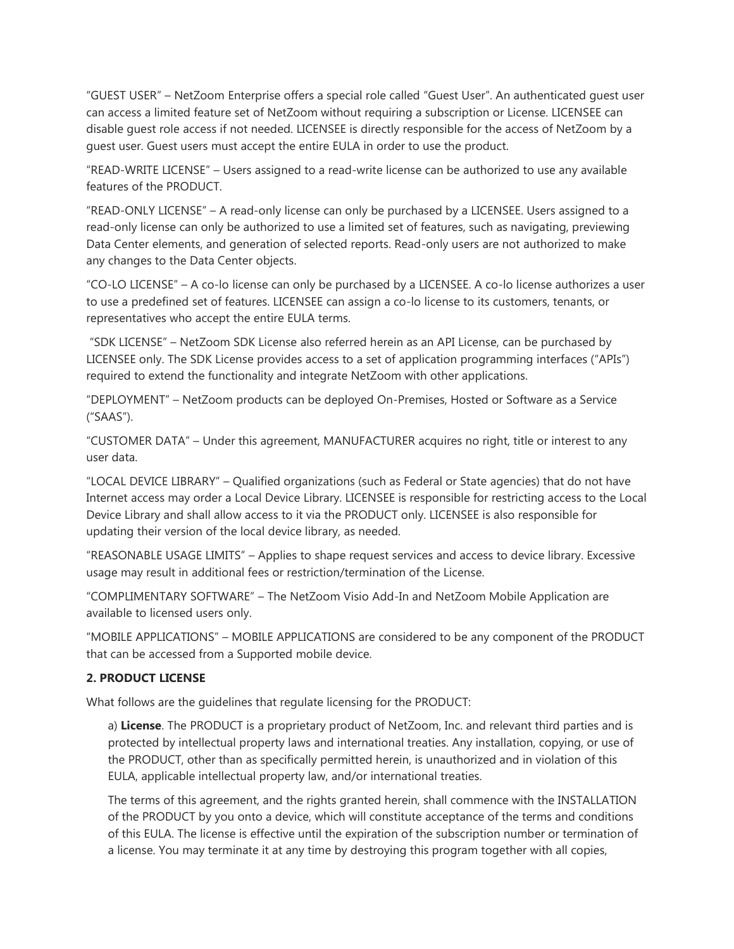"GUEST USER" – NetZoom Enterprise offers a special role called "Guest User". An authenticated guest user can access a limited feature set of NetZoom without requiring a subscription or License. LICENSEE can disable guest role access if not needed. LICENSEE is directly responsible for the access of NetZoom by a guest user. Guest users must accept the entire EULA in order to use the product.

"READ-WRITE LICENSE" – Users assigned to a read-write license can be authorized to use any available features of the PRODUCT.

"READ-ONLY LICENSE" – A read-only license can only be purchased by a LICENSEE. Users assigned to a read-only license can only be authorized to use a limited set of features, such as navigating, previewing Data Center elements, and generation of selected reports. Read-only users are not authorized to make any changes to the Data Center objects.

"CO-LO LICENSE" – A co-lo license can only be purchased by a LICENSEE. A co-lo license authorizes a user to use a predefined set of features. LICENSEE can assign a co-lo license to its customers, tenants, or representatives who accept the entire EULA terms.

"SDK LICENSE" – NetZoom SDK License also referred herein as an API License, can be purchased by LICENSEE only. The SDK License provides access to a set of application programming interfaces ("APIs") required to extend the functionality and integrate NetZoom with other applications.

"DEPLOYMENT" – NetZoom products can be deployed On-Premises, Hosted or Software as a Service ("SAAS").

"CUSTOMER DATA" – Under this agreement, MANUFACTURER acquires no right, title or interest to any user data.

"LOCAL DEVICE LIBRARY" – Qualified organizations (such as Federal or State agencies) that do not have Internet access may order a Local Device Library. LICENSEE is responsible for restricting access to the Local Device Library and shall allow access to it via the PRODUCT only. LICENSEE is also responsible for updating their version of the local device library, as needed.

"REASONABLE USAGE LIMITS" – Applies to shape request services and access to device library. Excessive usage may result in additional fees or restriction/termination of the License.

"COMPLIMENTARY SOFTWARE" – The NetZoom Visio Add-In and NetZoom Mobile Application are available to licensed users only.

"MOBILE APPLICATIONS" – MOBILE APPLICATIONS are considered to be any component of the PRODUCT that can be accessed from a Supported mobile device.

## **2. PRODUCT LICENSE**

What follows are the guidelines that regulate licensing for the PRODUCT:

a) **License**. The PRODUCT is a proprietary product of NetZoom, Inc. and relevant third parties and is protected by intellectual property laws and international treaties. Any installation, copying, or use of the PRODUCT, other than as specifically permitted herein, is unauthorized and in violation of this EULA, applicable intellectual property law, and/or international treaties.

The terms of this agreement, and the rights granted herein, shall commence with the INSTALLATION of the PRODUCT by you onto a device, which will constitute acceptance of the terms and conditions of this EULA. The license is effective until the expiration of the subscription number or termination of a license. You may terminate it at any time by destroying this program together with all copies,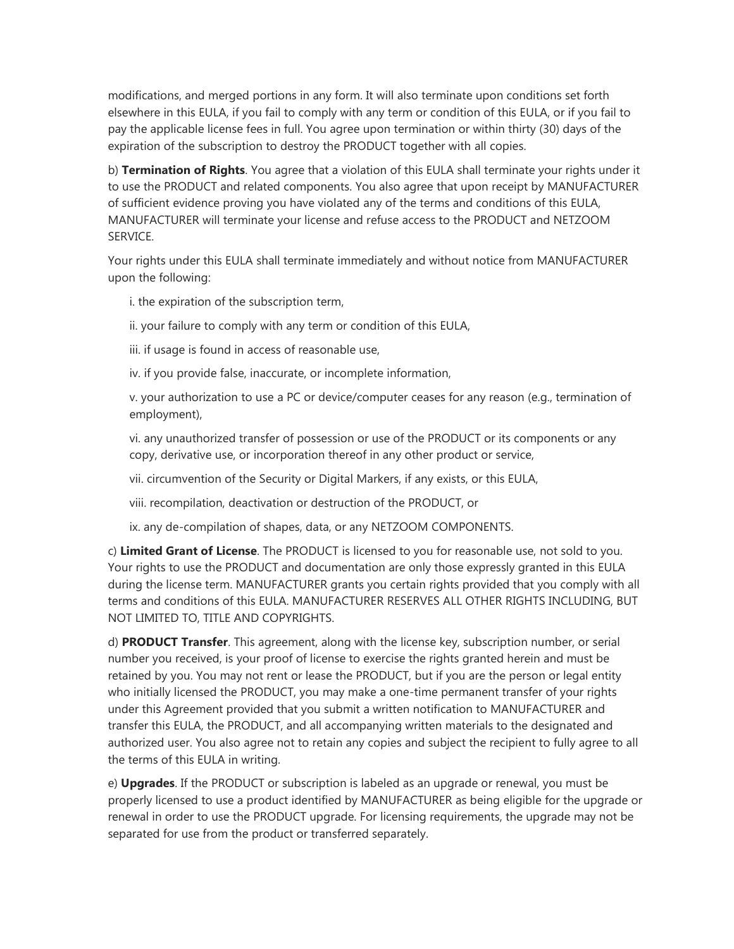modifications, and merged portions in any form. It will also terminate upon conditions set forth elsewhere in this EULA, if you fail to comply with any term or condition of this EULA, or if you fail to pay the applicable license fees in full. You agree upon termination or within thirty (30) days of the expiration of the subscription to destroy the PRODUCT together with all copies.

b) **Termination of Rights**. You agree that a violation of this EULA shall terminate your rights under it to use the PRODUCT and related components. You also agree that upon receipt by MANUFACTURER of sufficient evidence proving you have violated any of the terms and conditions of this EULA, MANUFACTURER will terminate your license and refuse access to the PRODUCT and NETZOOM SERVICE.

Your rights under this EULA shall terminate immediately and without notice from MANUFACTURER upon the following:

i. the expiration of the subscription term,

ii. your failure to comply with any term or condition of this EULA,

iii. if usage is found in access of reasonable use,

iv. if you provide false, inaccurate, or incomplete information,

v. your authorization to use a PC or device/computer ceases for any reason (e.g., termination of employment),

vi. any unauthorized transfer of possession or use of the PRODUCT or its components or any copy, derivative use, or incorporation thereof in any other product or service,

vii. circumvention of the Security or Digital Markers, if any exists, or this EULA,

viii. recompilation, deactivation or destruction of the PRODUCT, or

ix. any de-compilation of shapes, data, or any NETZOOM COMPONENTS.

c) **Limited Grant of License**. The PRODUCT is licensed to you for reasonable use, not sold to you. Your rights to use the PRODUCT and documentation are only those expressly granted in this EULA during the license term. MANUFACTURER grants you certain rights provided that you comply with all terms and conditions of this EULA. MANUFACTURER RESERVES ALL OTHER RIGHTS INCLUDING, BUT NOT LIMITED TO, TITLE AND COPYRIGHTS.

d) **PRODUCT Transfer**. This agreement, along with the license key, subscription number, or serial number you received, is your proof of license to exercise the rights granted herein and must be retained by you. You may not rent or lease the PRODUCT, but if you are the person or legal entity who initially licensed the PRODUCT, you may make a one-time permanent transfer of your rights under this Agreement provided that you submit a written notification to MANUFACTURER and transfer this EULA, the PRODUCT, and all accompanying written materials to the designated and authorized user. You also agree not to retain any copies and subject the recipient to fully agree to all the terms of this EULA in writing.

e) **Upgrades**. If the PRODUCT or subscription is labeled as an upgrade or renewal, you must be properly licensed to use a product identified by MANUFACTURER as being eligible for the upgrade or renewal in order to use the PRODUCT upgrade. For licensing requirements, the upgrade may not be separated for use from the product or transferred separately.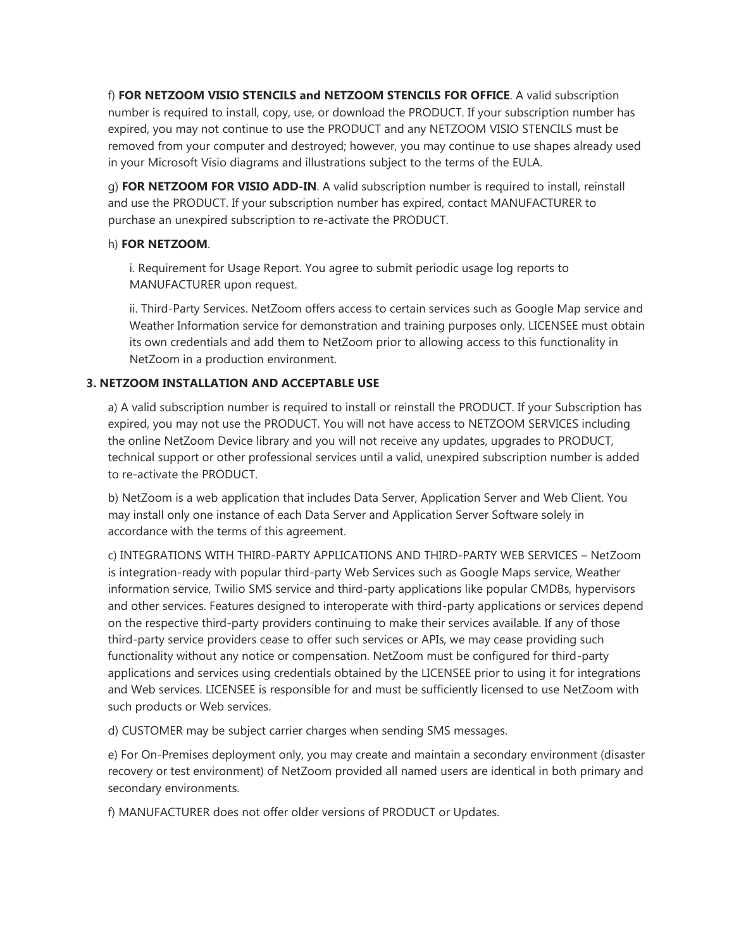f) **FOR NETZOOM VISIO STENCILS and NETZOOM STENCILS FOR OFFICE**. A valid subscription number is required to install, copy, use, or download the PRODUCT. If your subscription number has expired, you may not continue to use the PRODUCT and any NETZOOM VISIO STENCILS must be removed from your computer and destroyed; however, you may continue to use shapes already used in your Microsoft Visio diagrams and illustrations subject to the terms of the EULA.

g) **FOR NETZOOM FOR VISIO ADD-IN**. A valid subscription number is required to install, reinstall and use the PRODUCT. If your subscription number has expired, contact MANUFACTURER to purchase an unexpired subscription to re-activate the PRODUCT.

## h) **FOR NETZOOM**.

i. Requirement for Usage Report. You agree to submit periodic usage log reports to MANUFACTURER upon request.

ii. Third-Party Services. NetZoom offers access to certain services such as Google Map service and Weather Information service for demonstration and training purposes only. LICENSEE must obtain its own credentials and add them to NetZoom prior to allowing access to this functionality in NetZoom in a production environment.

# **3. NETZOOM INSTALLATION AND ACCEPTABLE USE**

a) A valid subscription number is required to install or reinstall the PRODUCT. If your Subscription has expired, you may not use the PRODUCT. You will not have access to NETZOOM SERVICES including the online NetZoom Device library and you will not receive any updates, upgrades to PRODUCT, technical support or other professional services until a valid, unexpired subscription number is added to re-activate the PRODUCT.

b) NetZoom is a web application that includes Data Server, Application Server and Web Client. You may install only one instance of each Data Server and Application Server Software solely in accordance with the terms of this agreement.

c) INTEGRATIONS WITH THIRD-PARTY APPLICATIONS AND THIRD-PARTY WEB SERVICES – NetZoom is integration-ready with popular third-party Web Services such as Google Maps service, Weather information service, Twilio SMS service and third-party applications like popular CMDBs, hypervisors and other services. Features designed to interoperate with third-party applications or services depend on the respective third-party providers continuing to make their services available. If any of those third-party service providers cease to offer such services or APIs, we may cease providing such functionality without any notice or compensation. NetZoom must be configured for third-party applications and services using credentials obtained by the LICENSEE prior to using it for integrations and Web services. LICENSEE is responsible for and must be sufficiently licensed to use NetZoom with such products or Web services.

d) CUSTOMER may be subject carrier charges when sending SMS messages.

e) For On-Premises deployment only, you may create and maintain a secondary environment (disaster recovery or test environment) of NetZoom provided all named users are identical in both primary and secondary environments.

f) MANUFACTURER does not offer older versions of PRODUCT or Updates.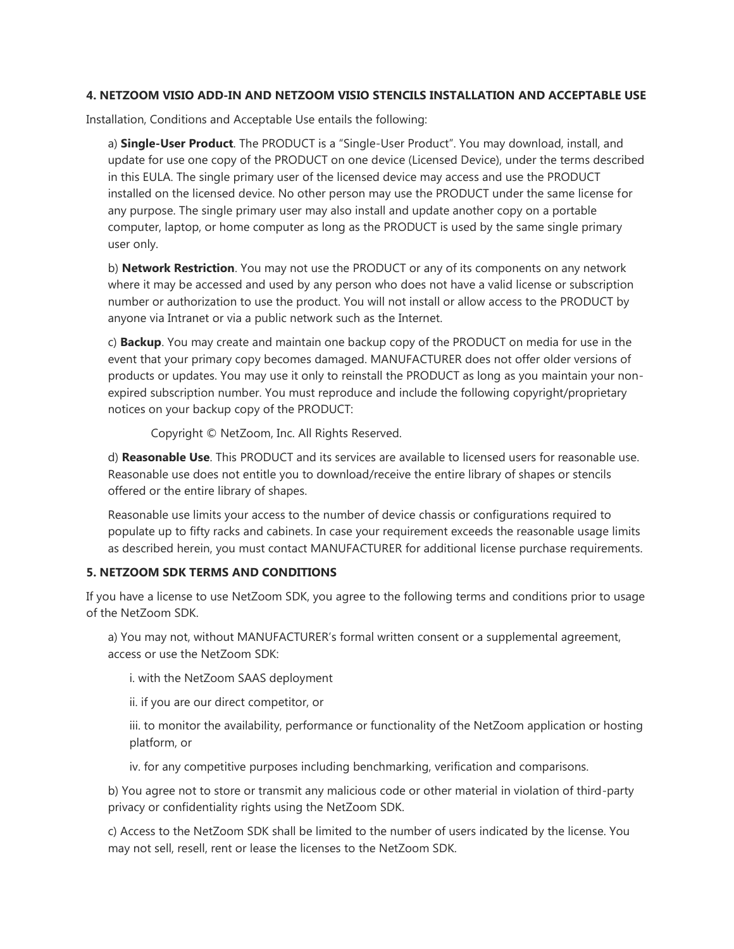## **4. NETZOOM VISIO ADD-IN AND NETZOOM VISIO STENCILS INSTALLATION AND ACCEPTABLE USE**

Installation, Conditions and Acceptable Use entails the following:

a) **Single-User Product**. The PRODUCT is a "Single-User Product". You may download, install, and update for use one copy of the PRODUCT on one device (Licensed Device), under the terms described in this EULA. The single primary user of the licensed device may access and use the PRODUCT installed on the licensed device. No other person may use the PRODUCT under the same license for any purpose. The single primary user may also install and update another copy on a portable computer, laptop, or home computer as long as the PRODUCT is used by the same single primary user only.

b) **Network Restriction**. You may not use the PRODUCT or any of its components on any network where it may be accessed and used by any person who does not have a valid license or subscription number or authorization to use the product. You will not install or allow access to the PRODUCT by anyone via Intranet or via a public network such as the Internet.

c) **Backup**. You may create and maintain one backup copy of the PRODUCT on media for use in the event that your primary copy becomes damaged. MANUFACTURER does not offer older versions of products or updates. You may use it only to reinstall the PRODUCT as long as you maintain your nonexpired subscription number. You must reproduce and include the following copyright/proprietary notices on your backup copy of the PRODUCT:

Copyright © NetZoom, Inc. All Rights Reserved.

d) **Reasonable Use**. This PRODUCT and its services are available to licensed users for reasonable use. Reasonable use does not entitle you to download/receive the entire library of shapes or stencils offered or the entire library of shapes.

Reasonable use limits your access to the number of device chassis or configurations required to populate up to fifty racks and cabinets. In case your requirement exceeds the reasonable usage limits as described herein, you must contact MANUFACTURER for additional license purchase requirements.

# **5. NETZOOM SDK TERMS AND CONDITIONS**

If you have a license to use NetZoom SDK, you agree to the following terms and conditions prior to usage of the NetZoom SDK.

a) You may not, without MANUFACTURER's formal written consent or a supplemental agreement, access or use the NetZoom SDK:

i. with the NetZoom SAAS deployment

ii. if you are our direct competitor, or

iii. to monitor the availability, performance or functionality of the NetZoom application or hosting platform, or

iv. for any competitive purposes including benchmarking, verification and comparisons.

b) You agree not to store or transmit any malicious code or other material in violation of third-party privacy or confidentiality rights using the NetZoom SDK.

c) Access to the NetZoom SDK shall be limited to the number of users indicated by the license. You may not sell, resell, rent or lease the licenses to the NetZoom SDK.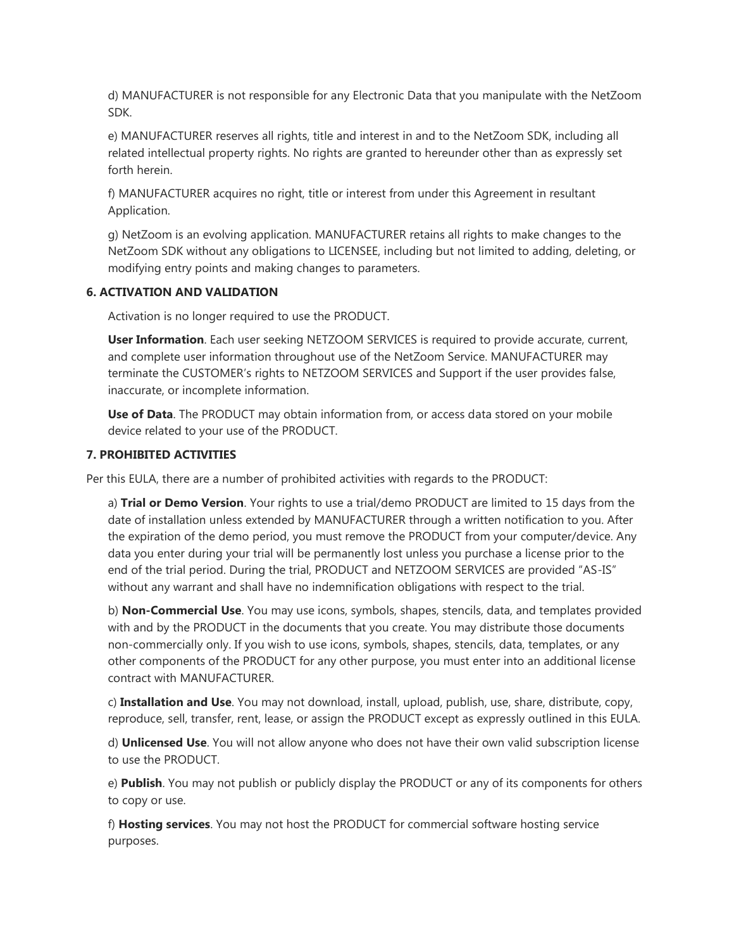d) MANUFACTURER is not responsible for any Electronic Data that you manipulate with the NetZoom SDK.

e) MANUFACTURER reserves all rights, title and interest in and to the NetZoom SDK, including all related intellectual property rights. No rights are granted to hereunder other than as expressly set forth herein.

f) MANUFACTURER acquires no right, title or interest from under this Agreement in resultant Application.

g) NetZoom is an evolving application. MANUFACTURER retains all rights to make changes to the NetZoom SDK without any obligations to LICENSEE, including but not limited to adding, deleting, or modifying entry points and making changes to parameters.

### **6. ACTIVATION AND VALIDATION**

Activation is no longer required to use the PRODUCT.

**User Information**. Each user seeking NETZOOM SERVICES is required to provide accurate, current, and complete user information throughout use of the NetZoom Service. MANUFACTURER may terminate the CUSTOMER's rights to NETZOOM SERVICES and Support if the user provides false, inaccurate, or incomplete information.

**Use of Data**. The PRODUCT may obtain information from, or access data stored on your mobile device related to your use of the PRODUCT.

#### **7. PROHIBITED ACTIVITIES**

Per this EULA, there are a number of prohibited activities with regards to the PRODUCT:

a) **Trial or Demo Version**. Your rights to use a trial/demo PRODUCT are limited to 15 days from the date of installation unless extended by MANUFACTURER through a written notification to you. After the expiration of the demo period, you must remove the PRODUCT from your computer/device. Any data you enter during your trial will be permanently lost unless you purchase a license prior to the end of the trial period. During the trial, PRODUCT and NETZOOM SERVICES are provided "AS-IS" without any warrant and shall have no indemnification obligations with respect to the trial.

b) **Non-Commercial Use**. You may use icons, symbols, shapes, stencils, data, and templates provided with and by the PRODUCT in the documents that you create. You may distribute those documents non-commercially only. If you wish to use icons, symbols, shapes, stencils, data, templates, or any other components of the PRODUCT for any other purpose, you must enter into an additional license contract with MANUFACTURER.

c) **Installation and Use**. You may not download, install, upload, publish, use, share, distribute, copy, reproduce, sell, transfer, rent, lease, or assign the PRODUCT except as expressly outlined in this EULA.

d) **Unlicensed Use**. You will not allow anyone who does not have their own valid subscription license to use the PRODUCT.

e) **Publish**. You may not publish or publicly display the PRODUCT or any of its components for others to copy or use.

f) **Hosting services**. You may not host the PRODUCT for commercial software hosting service purposes.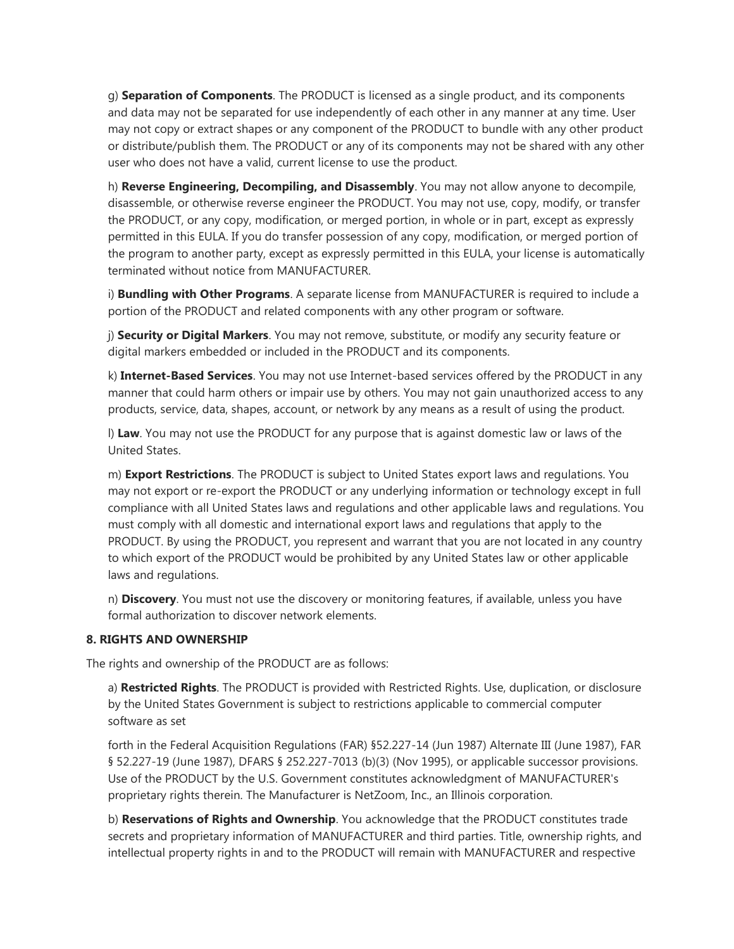g) **Separation of Components**. The PRODUCT is licensed as a single product, and its components and data may not be separated for use independently of each other in any manner at any time. User may not copy or extract shapes or any component of the PRODUCT to bundle with any other product or distribute/publish them. The PRODUCT or any of its components may not be shared with any other user who does not have a valid, current license to use the product.

h) **Reverse Engineering, Decompiling, and Disassembly**. You may not allow anyone to decompile, disassemble, or otherwise reverse engineer the PRODUCT. You may not use, copy, modify, or transfer the PRODUCT, or any copy, modification, or merged portion, in whole or in part, except as expressly permitted in this EULA. If you do transfer possession of any copy, modification, or merged portion of the program to another party, except as expressly permitted in this EULA, your license is automatically terminated without notice from MANUFACTURER.

i) **Bundling with Other Programs**. A separate license from MANUFACTURER is required to include a portion of the PRODUCT and related components with any other program or software.

j) **Security or Digital Markers**. You may not remove, substitute, or modify any security feature or digital markers embedded or included in the PRODUCT and its components.

k) **Internet-Based Services**. You may not use Internet-based services offered by the PRODUCT in any manner that could harm others or impair use by others. You may not gain unauthorized access to any products, service, data, shapes, account, or network by any means as a result of using the product.

l) **Law**. You may not use the PRODUCT for any purpose that is against domestic law or laws of the United States.

m) **Export Restrictions**. The PRODUCT is subject to United States export laws and regulations. You may not export or re-export the PRODUCT or any underlying information or technology except in full compliance with all United States laws and regulations and other applicable laws and regulations. You must comply with all domestic and international export laws and regulations that apply to the PRODUCT. By using the PRODUCT, you represent and warrant that you are not located in any country to which export of the PRODUCT would be prohibited by any United States law or other applicable laws and regulations.

n) **Discovery**. You must not use the discovery or monitoring features, if available, unless you have formal authorization to discover network elements.

#### **8. RIGHTS AND OWNERSHIP**

The rights and ownership of the PRODUCT are as follows:

a) **Restricted Rights**. The PRODUCT is provided with Restricted Rights. Use, duplication, or disclosure by the United States Government is subject to restrictions applicable to commercial computer software as set

forth in the Federal Acquisition Regulations (FAR) §52.227-14 (Jun 1987) Alternate III (June 1987), FAR § 52.227-19 (June 1987), DFARS § 252.227-7013 (b)(3) (Nov 1995), or applicable successor provisions. Use of the PRODUCT by the U.S. Government constitutes acknowledgment of MANUFACTURER's proprietary rights therein. The Manufacturer is NetZoom, Inc., an Illinois corporation.

b) **Reservations of Rights and Ownership**. You acknowledge that the PRODUCT constitutes trade secrets and proprietary information of MANUFACTURER and third parties. Title, ownership rights, and intellectual property rights in and to the PRODUCT will remain with MANUFACTURER and respective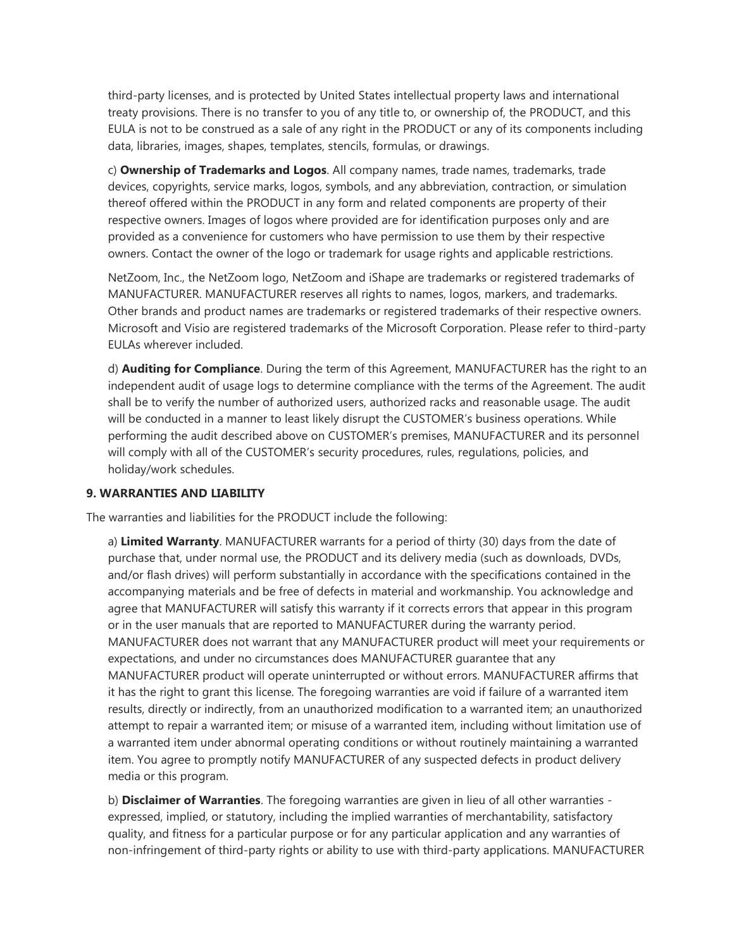third-party licenses, and is protected by United States intellectual property laws and international treaty provisions. There is no transfer to you of any title to, or ownership of, the PRODUCT, and this EULA is not to be construed as a sale of any right in the PRODUCT or any of its components including data, libraries, images, shapes, templates, stencils, formulas, or drawings.

c) **Ownership of Trademarks and Logos**. All company names, trade names, trademarks, trade devices, copyrights, service marks, logos, symbols, and any abbreviation, contraction, or simulation thereof offered within the PRODUCT in any form and related components are property of their respective owners. Images of logos where provided are for identification purposes only and are provided as a convenience for customers who have permission to use them by their respective owners. Contact the owner of the logo or trademark for usage rights and applicable restrictions.

NetZoom, Inc., the NetZoom logo, NetZoom and iShape are trademarks or registered trademarks of MANUFACTURER. MANUFACTURER reserves all rights to names, logos, markers, and trademarks. Other brands and product names are trademarks or registered trademarks of their respective owners. Microsoft and Visio are registered trademarks of the Microsoft Corporation. Please refer to third-party EULAs wherever included.

d) **Auditing for Compliance**. During the term of this Agreement, MANUFACTURER has the right to an independent audit of usage logs to determine compliance with the terms of the Agreement. The audit shall be to verify the number of authorized users, authorized racks and reasonable usage. The audit will be conducted in a manner to least likely disrupt the CUSTOMER's business operations. While performing the audit described above on CUSTOMER's premises, MANUFACTURER and its personnel will comply with all of the CUSTOMER's security procedures, rules, regulations, policies, and holiday/work schedules.

## **9. WARRANTIES AND LIABILITY**

The warranties and liabilities for the PRODUCT include the following:

a) **Limited Warranty**. MANUFACTURER warrants for a period of thirty (30) days from the date of purchase that, under normal use, the PRODUCT and its delivery media (such as downloads, DVDs, and/or flash drives) will perform substantially in accordance with the specifications contained in the accompanying materials and be free of defects in material and workmanship. You acknowledge and agree that MANUFACTURER will satisfy this warranty if it corrects errors that appear in this program or in the user manuals that are reported to MANUFACTURER during the warranty period. MANUFACTURER does not warrant that any MANUFACTURER product will meet your requirements or expectations, and under no circumstances does MANUFACTURER guarantee that any MANUFACTURER product will operate uninterrupted or without errors. MANUFACTURER affirms that it has the right to grant this license. The foregoing warranties are void if failure of a warranted item results, directly or indirectly, from an unauthorized modification to a warranted item; an unauthorized attempt to repair a warranted item; or misuse of a warranted item, including without limitation use of a warranted item under abnormal operating conditions or without routinely maintaining a warranted item. You agree to promptly notify MANUFACTURER of any suspected defects in product delivery media or this program.

b) **Disclaimer of Warranties**. The foregoing warranties are given in lieu of all other warranties expressed, implied, or statutory, including the implied warranties of merchantability, satisfactory quality, and fitness for a particular purpose or for any particular application and any warranties of non-infringement of third-party rights or ability to use with third-party applications. MANUFACTURER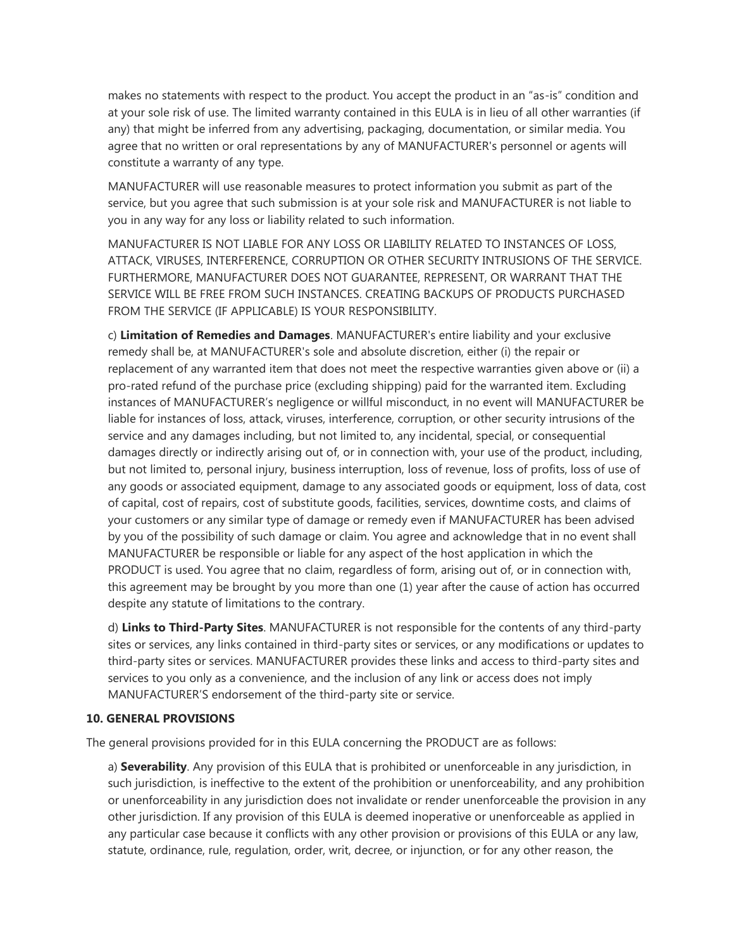makes no statements with respect to the product. You accept the product in an "as-is" condition and at your sole risk of use. The limited warranty contained in this EULA is in lieu of all other warranties (if any) that might be inferred from any advertising, packaging, documentation, or similar media. You agree that no written or oral representations by any of MANUFACTURER's personnel or agents will constitute a warranty of any type.

MANUFACTURER will use reasonable measures to protect information you submit as part of the service, but you agree that such submission is at your sole risk and MANUFACTURER is not liable to you in any way for any loss or liability related to such information.

MANUFACTURER IS NOT LIABLE FOR ANY LOSS OR LIABILITY RELATED TO INSTANCES OF LOSS, ATTACK, VIRUSES, INTERFERENCE, CORRUPTION OR OTHER SECURITY INTRUSIONS OF THE SERVICE. FURTHERMORE, MANUFACTURER DOES NOT GUARANTEE, REPRESENT, OR WARRANT THAT THE SERVICE WILL BE FREE FROM SUCH INSTANCES. CREATING BACKUPS OF PRODUCTS PURCHASED FROM THE SERVICE (IF APPLICABLE) IS YOUR RESPONSIBILITY.

c) **Limitation of Remedies and Damages**. MANUFACTURER's entire liability and your exclusive remedy shall be, at MANUFACTURER's sole and absolute discretion, either (i) the repair or replacement of any warranted item that does not meet the respective warranties given above or (ii) a pro-rated refund of the purchase price (excluding shipping) paid for the warranted item. Excluding instances of MANUFACTURER's negligence or willful misconduct, in no event will MANUFACTURER be liable for instances of loss, attack, viruses, interference, corruption, or other security intrusions of the service and any damages including, but not limited to, any incidental, special, or consequential damages directly or indirectly arising out of, or in connection with, your use of the product, including, but not limited to, personal injury, business interruption, loss of revenue, loss of profits, loss of use of any goods or associated equipment, damage to any associated goods or equipment, loss of data, cost of capital, cost of repairs, cost of substitute goods, facilities, services, downtime costs, and claims of your customers or any similar type of damage or remedy even if MANUFACTURER has been advised by you of the possibility of such damage or claim. You agree and acknowledge that in no event shall MANUFACTURER be responsible or liable for any aspect of the host application in which the PRODUCT is used. You agree that no claim, regardless of form, arising out of, or in connection with, this agreement may be brought by you more than one (1) year after the cause of action has occurred despite any statute of limitations to the contrary.

d) **Links to Third-Party Sites**. MANUFACTURER is not responsible for the contents of any third-party sites or services, any links contained in third-party sites or services, or any modifications or updates to third-party sites or services. MANUFACTURER provides these links and access to third-party sites and services to you only as a convenience, and the inclusion of any link or access does not imply MANUFACTURER'S endorsement of the third-party site or service.

#### **10. GENERAL PROVISIONS**

The general provisions provided for in this EULA concerning the PRODUCT are as follows:

a) **Severability**. Any provision of this EULA that is prohibited or unenforceable in any jurisdiction, in such jurisdiction, is ineffective to the extent of the prohibition or unenforceability, and any prohibition or unenforceability in any jurisdiction does not invalidate or render unenforceable the provision in any other jurisdiction. If any provision of this EULA is deemed inoperative or unenforceable as applied in any particular case because it conflicts with any other provision or provisions of this EULA or any law, statute, ordinance, rule, regulation, order, writ, decree, or injunction, or for any other reason, the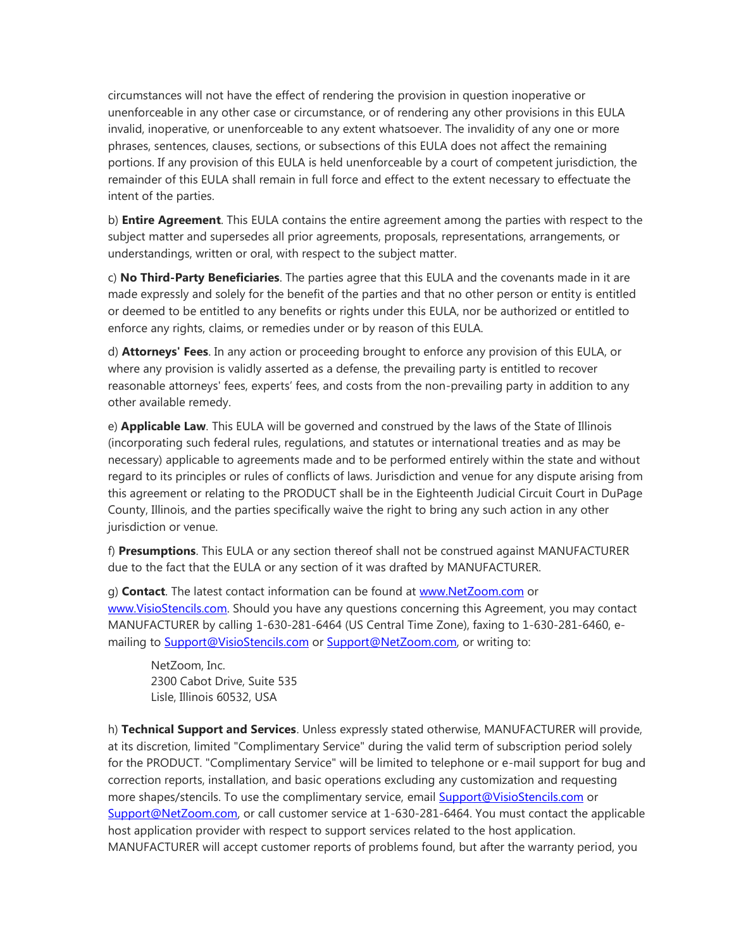circumstances will not have the effect of rendering the provision in question inoperative or unenforceable in any other case or circumstance, or of rendering any other provisions in this EULA invalid, inoperative, or unenforceable to any extent whatsoever. The invalidity of any one or more phrases, sentences, clauses, sections, or subsections of this EULA does not affect the remaining portions. If any provision of this EULA is held unenforceable by a court of competent jurisdiction, the remainder of this EULA shall remain in full force and effect to the extent necessary to effectuate the intent of the parties.

b) **Entire Agreement**. This EULA contains the entire agreement among the parties with respect to the subject matter and supersedes all prior agreements, proposals, representations, arrangements, or understandings, written or oral, with respect to the subject matter.

c) **No Third-Party Beneficiaries**. The parties agree that this EULA and the covenants made in it are made expressly and solely for the benefit of the parties and that no other person or entity is entitled or deemed to be entitled to any benefits or rights under this EULA, nor be authorized or entitled to enforce any rights, claims, or remedies under or by reason of this EULA.

d) **Attorneys' Fees**. In any action or proceeding brought to enforce any provision of this EULA, or where any provision is validly asserted as a defense, the prevailing party is entitled to recover reasonable attorneys' fees, experts' fees, and costs from the non-prevailing party in addition to any other available remedy.

e) **Applicable Law**. This EULA will be governed and construed by the laws of the State of Illinois (incorporating such federal rules, regulations, and statutes or international treaties and as may be necessary) applicable to agreements made and to be performed entirely within the state and without regard to its principles or rules of conflicts of laws. Jurisdiction and venue for any dispute arising from this agreement or relating to the PRODUCT shall be in the Eighteenth Judicial Circuit Court in DuPage County, Illinois, and the parties specifically waive the right to bring any such action in any other jurisdiction or venue.

f) **Presumptions**. This EULA or any section thereof shall not be construed against MANUFACTURER due to the fact that the EULA or any section of it was drafted by MANUFACTURER.

g) **Contact**. The latest contact information can be found at [www.NetZoom.com](https://www.netzoom.com/) or [www.VisioStencils.com.](https://www.visiostencils.com/) Should you have any questions concerning this Agreement, you may contact MANUFACTURER by calling 1-630-281-6464 (US Central Time Zone), faxing to 1-630-281-6460, emailing to [Support@VisioStencils.com](mailto:Support@VisioStencils.com) or [Support@NetZoom.com,](mailto:Support@NetZoom.com) or writing to:

NetZoom, Inc. 2300 Cabot Drive, Suite 535 Lisle, Illinois 60532, USA

h) **Technical Support and Services**. Unless expressly stated otherwise, MANUFACTURER will provide, at its discretion, limited "Complimentary Service" during the valid term of subscription period solely for the PRODUCT. "Complimentary Service" will be limited to telephone or e-mail support for bug and correction reports, installation, and basic operations excluding any customization and requesting more shapes/stencils. To use the complimentary service, email **Support@VisioStencils.com** or [Support@NetZoom.com,](mailto:Support@NetZoom.com) or call customer service at 1-630-281-6464. You must contact the applicable host application provider with respect to support services related to the host application. MANUFACTURER will accept customer reports of problems found, but after the warranty period, you